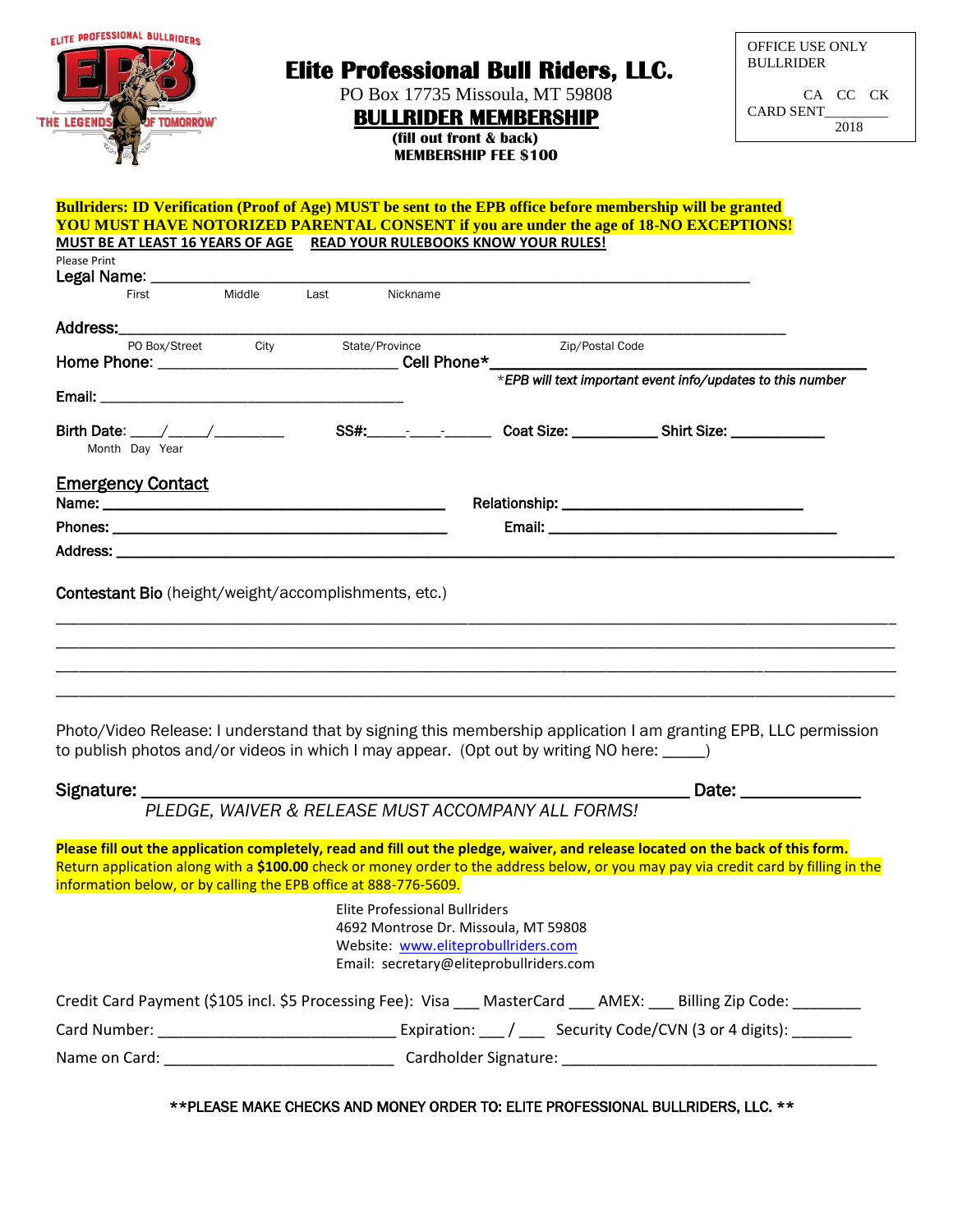| <b>ELITE PROFESSIONAL BULLRIDERS</b><br><b>Elite Professional Bull Riders, LLC.</b><br>PO Box 17735 Missoula, MT 59808<br><b>BULLRIDER MEMBERSHIP</b><br><b>THE LEGENDS</b><br><b>TOMORROW</b><br>(fill out front & back)<br><b>MEMBERSHIP FEE \$100</b> |             |                                                                                                                                                                                                                                                                                                                               |                 | <b>OFFICE USE ONLY</b><br><b>BULLRIDER</b><br>CA CC CK<br>CARD SENT<br>2018 |
|----------------------------------------------------------------------------------------------------------------------------------------------------------------------------------------------------------------------------------------------------------|-------------|-------------------------------------------------------------------------------------------------------------------------------------------------------------------------------------------------------------------------------------------------------------------------------------------------------------------------------|-----------------|-----------------------------------------------------------------------------|
| Please Print                                                                                                                                                                                                                                             |             | Bullriders: ID Verification (Proof of Age) MUST be sent to the EPB office before membership will be granted<br><b>YOU MUST HAVE NOTORIZED PARENTAL CONSENT if you are under the age of 18-NO EXCEPTIONS!</b><br>MUST BE AT LEAST 16 YEARS OF AGE READ YOUR RULEBOOKS KNOW YOUR RULES!                                         |                 |                                                                             |
| First                                                                                                                                                                                                                                                    | Middle      | Last Nickname                                                                                                                                                                                                                                                                                                                 |                 |                                                                             |
| PO Box/Street                                                                                                                                                                                                                                            | <b>City</b> | State/Province<br>Home Phone: ________________________________Cell Phone*_________________________                                                                                                                                                                                                                            | Zip/Postal Code |                                                                             |
|                                                                                                                                                                                                                                                          |             |                                                                                                                                                                                                                                                                                                                               |                 | *EPB will text important event info/updates to this number                  |
|                                                                                                                                                                                                                                                          |             |                                                                                                                                                                                                                                                                                                                               |                 |                                                                             |
| Month Day Year                                                                                                                                                                                                                                           |             | SS#:______________________Coat Size: ________________Shirt Size: _______________                                                                                                                                                                                                                                              |                 |                                                                             |
|                                                                                                                                                                                                                                                          |             |                                                                                                                                                                                                                                                                                                                               |                 |                                                                             |
|                                                                                                                                                                                                                                                          |             |                                                                                                                                                                                                                                                                                                                               |                 |                                                                             |
| <b>Emergency Contact</b><br><b>Contestant Bio</b> (height/weight/accomplishments, etc.)                                                                                                                                                                  |             | Photo/Video Release: I understand that by signing this membership application I am granting EPB, LLC permission                                                                                                                                                                                                               |                 |                                                                             |
|                                                                                                                                                                                                                                                          |             | to publish photos and/or videos in which I may appear. (Opt out by writing NO here: ____)                                                                                                                                                                                                                                     |                 |                                                                             |
| Signature: ________                                                                                                                                                                                                                                      |             |                                                                                                                                                                                                                                                                                                                               |                 | Date: ______________                                                        |
| information below, or by calling the EPB office at 888-776-5609.                                                                                                                                                                                         |             | PLEDGE, WAIVER & RELEASE MUST ACCOMPANY ALL FORMS!<br>Please fill out the application completely, read and fill out the pledge, waiver, and release located on the back of this form.<br>Return application along with a \$100.00 check or money order to the address below, or you may pay via credit card by filling in the |                 |                                                                             |
|                                                                                                                                                                                                                                                          |             | <b>Elite Professional Bullriders</b><br>4692 Montrose Dr. Missoula, MT 59808<br>Website: www.eliteprobullriders.com<br>Email: secretary@eliteprobullriders.com                                                                                                                                                                |                 |                                                                             |
|                                                                                                                                                                                                                                                          |             | Credit Card Payment (\$105 incl. \$5 Processing Fee): Visa ___ MasterCard ___ AMEX: ___ Billing Zip Code: ______                                                                                                                                                                                                              |                 |                                                                             |
|                                                                                                                                                                                                                                                          |             |                                                                                                                                                                                                                                                                                                                               |                 |                                                                             |